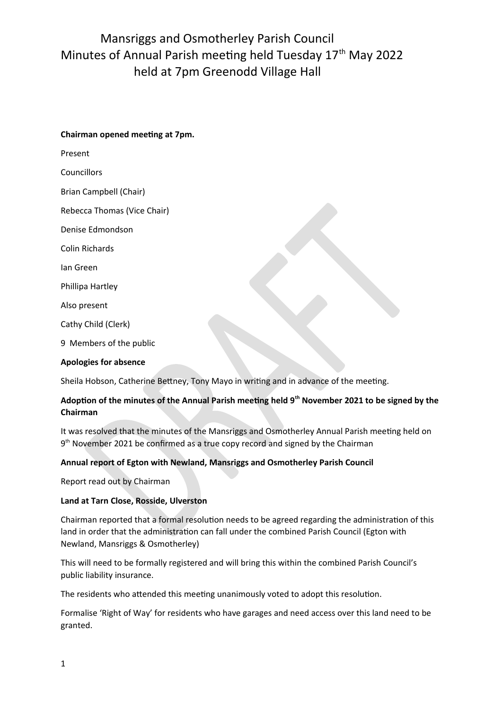# Mansriggs and Osmotherley Parish Council Minutes of Annual Parish meeting held Tuesday 17<sup>th</sup> May 2022 held at 7pm Greenodd Village Hall

### **Chairman opened meeting at 7pm.**

Present

**Councillors** 

Brian Campbell (Chair)

Rebecca Thomas (Vice Chair)

Denise Edmondson

Colin Richards

Ian Green

Phillipa Hartley

Also present

Cathy Child (Clerk)

9 Members of the public

### **Apologies for absence**

Sheila Hobson, Catherine Bettney, Tony Mayo in writing and in advance of the meeting.

## **Adoption of the minutes of the Annual Parish meeting held 9th November 2021 to be signed by the Chairman**

It was resolved that the minutes of the Mansriggs and Osmotherley Annual Parish meeting held on 9<sup>th</sup> November 2021 be confirmed as a true copy record and signed by the Chairman

### **Annual report of Egton with Newland, Mansriggs and Osmotherley Parish Council**

Report read out by Chairman

### **Land at Tarn Close, Rosside, Ulverston**

Chairman reported that a formal resolution needs to be agreed regarding the administration of this land in order that the administration can fall under the combined Parish Council (Egton with Newland, Mansriggs & Osmotherley)

This will need to be formally registered and will bring this within the combined Parish Council's public liability insurance.

The residents who attended this meeting unanimously voted to adopt this resolution.

Formalise 'Right of Way' for residents who have garages and need access over this land need to be granted.